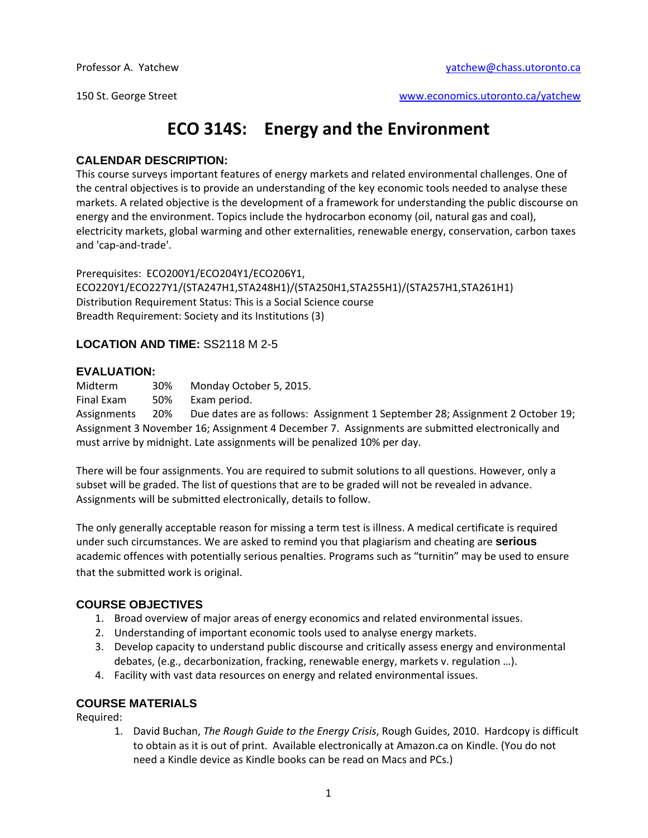150 St. George Street www.economics.utoronto.ca/yatchew

# **ECO 314S: Energy and the Environment**

#### **CALENDAR DESCRIPTION:**

This course surveys important features of energy markets and related environmental challenges. One of the central objectives is to provide an understanding of the key economic tools needed to analyse these markets. A related objective is the development of a framework for understanding the public discourse on energy and the environment. Topics include the hydrocarbon economy (oil, natural gas and coal), electricity markets, global warming and other externalities, renewable energy, conservation, carbon taxes and 'cap-and-trade'.

Prerequisites: ECO200Y1/ECO204Y1/ECO206Y1, ECO220Y1/ECO227Y1/(STA247H1,STA248H1)/(STA250H1,STA255H1)/(STA257H1,STA261H1) Distribution Requirement Status: This is a Social Science course Breadth Requirement: Society and its Institutions (3)

### **LOCATION AND TIME:** SS2118 M 2-5

#### **EVALUATION:**

Midterm 30% Monday October 5, 2015.

Final Exam 50% Exam period.

Assignments 20% Due dates are as follows: Assignment 1 September 28; Assignment 2 October 19; Assignment 3 November 16; Assignment 4 December 7. Assignments are submitted electronically and must arrive by midnight. Late assignments will be penalized 10% per day.

There will be four assignments. You are required to submit solutions to all questions. However, only a subset will be graded. The list of questions that are to be graded will not be revealed in advance. Assignments will be submitted electronically, details to follow.

The only generally acceptable reason for missing a term test is illness. A medical certificate is required under such circumstances. We are asked to remind you that plagiarism and cheating are **serious**  academic offences with potentially serious penalties. Programs such as "turnitin" may be used to ensure that the submitted work is original.

### **COURSE OBJECTIVES**

- 1. Broad overview of major areas of energy economics and related environmental issues.
- 2. Understanding of important economic tools used to analyse energy markets.
- 3. Develop capacity to understand public discourse and critically assess energy and environmental debates, (e.g., decarbonization, fracking, renewable energy, markets v. regulation …).
- 4. Facility with vast data resources on energy and related environmental issues.

### **COURSE MATERIALS**

Required:

1. David Buchan, *The Rough Guide to the Energy Crisis*, Rough Guides, 2010. Hardcopy is difficult to obtain as it is out of print. Available electronically at Amazon.ca on Kindle. (You do not need a Kindle device as Kindle books can be read on Macs and PCs.)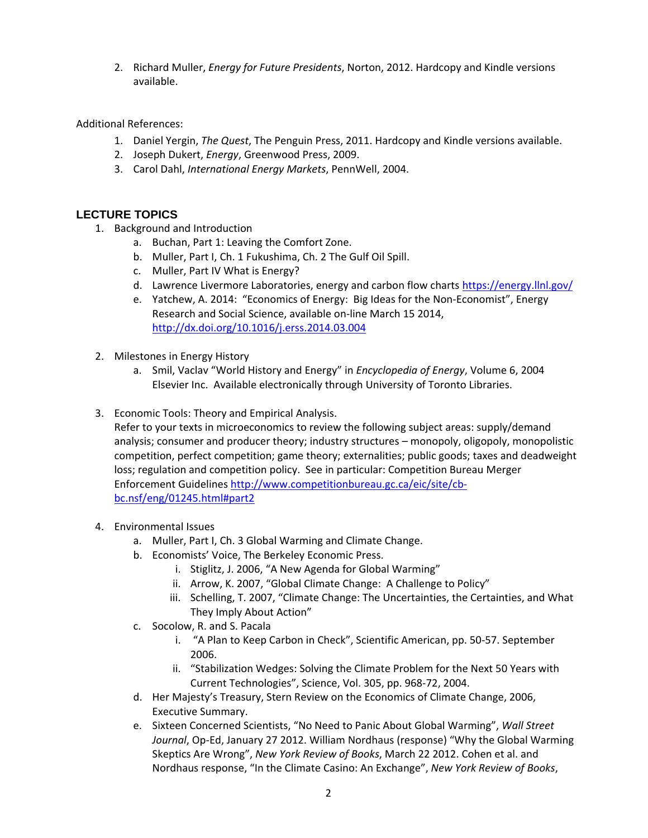2. Richard Muller, *Energy for Future Presidents*, Norton, 2012. Hardcopy and Kindle versions available.

Additional References:

- 1. Daniel Yergin, *The Quest*, The Penguin Press, 2011. Hardcopy and Kindle versions available.
- 2. Joseph Dukert, *Energy*, Greenwood Press, 2009.
- 3. Carol Dahl, *International Energy Markets*, PennWell, 2004.

# **LECTURE TOPICS**

- 1. Background and Introduction
	- a. Buchan, Part 1: Leaving the Comfort Zone.
	- b. Muller, Part I, Ch. 1 Fukushima, Ch. 2 The Gulf Oil Spill.
	- c. Muller, Part IV What is Energy?
	- d. Lawrence Livermore Laboratories, energy and carbon flow charts https://energy.llnl.gov/
	- e. Yatchew, A. 2014: "Economics of Energy: Big Ideas for the Non-Economist", Energy Research and Social Science, available on-line March 15 2014, http://dx.doi.org/10.1016/j.erss.2014.03.004
- 2. Milestones in Energy History
	- a. Smil, Vaclav "World History and Energy" in *Encyclopedia of Energy*, Volume 6, 2004 Elsevier Inc. Available electronically through University of Toronto Libraries.
- 3. Economic Tools: Theory and Empirical Analysis.

Refer to your texts in microeconomics to review the following subject areas: supply/demand analysis; consumer and producer theory; industry structures – monopoly, oligopoly, monopolistic competition, perfect competition; game theory; externalities; public goods; taxes and deadweight loss; regulation and competition policy. See in particular: Competition Bureau Merger Enforcement Guidelines http://www.competitionbureau.gc.ca/eic/site/cbbc.nsf/eng/01245.html#part2

- 4. Environmental Issues
	- a. Muller, Part I, Ch. 3 Global Warming and Climate Change.
	- b. Economists' Voice, The Berkeley Economic Press.
		- i. Stiglitz, J. 2006, "A New Agenda for Global Warming"
		- ii. Arrow, K. 2007, "Global Climate Change: A Challenge to Policy"
		- iii. Schelling, T. 2007, "Climate Change: The Uncertainties, the Certainties, and What They Imply About Action"
	- c. Socolow, R. and S. Pacala
		- i. "A Plan to Keep Carbon in Check", Scientific American, pp. 50-57. September 2006.
		- ii. "Stabilization Wedges: Solving the Climate Problem for the Next 50 Years with Current Technologies", Science, Vol. 305, pp. 968-72, 2004.
	- d. Her Majesty's Treasury, Stern Review on the Economics of Climate Change, 2006, Executive Summary.
	- e. Sixteen Concerned Scientists, "No Need to Panic About Global Warming", *Wall Street Journal*, Op-Ed, January 27 2012. William Nordhaus (response) "Why the Global Warming Skeptics Are Wrong", *New York Review of Books*, March 22 2012. Cohen et al. and Nordhaus response, "In the Climate Casino: An Exchange", *New York Review of Books*,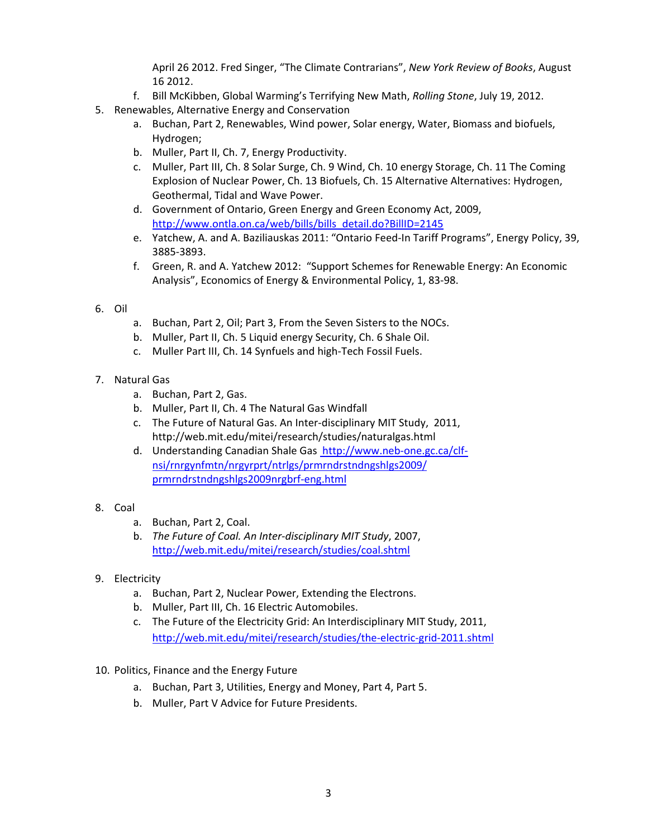April 26 2012. Fred Singer, "The Climate Contrarians", *New York Review of Books*, August 16 2012.

- f. Bill McKibben, Global Warming's Terrifying New Math, *Rolling Stone*, July 19, 2012.
- 5. Renewables, Alternative Energy and Conservation
	- a. Buchan, Part 2, Renewables, Wind power, Solar energy, Water, Biomass and biofuels, Hydrogen;
	- b. Muller, Part II, Ch. 7, Energy Productivity.
	- c. Muller, Part III, Ch. 8 Solar Surge, Ch. 9 Wind, Ch. 10 energy Storage, Ch. 11 The Coming Explosion of Nuclear Power, Ch. 13 Biofuels, Ch. 15 Alternative Alternatives: Hydrogen, Geothermal, Tidal and Wave Power.
	- d. Government of Ontario, Green Energy and Green Economy Act, 2009, http://www.ontla.on.ca/web/bills/bills\_detail.do?BillID=2145
	- e. Yatchew, A. and A. Baziliauskas 2011: "Ontario Feed-In Tariff Programs", Energy Policy, 39, 3885-3893.
	- f. Green, R. and A. Yatchew 2012: "Support Schemes for Renewable Energy: An Economic Analysis", Economics of Energy & Environmental Policy, 1, 83-98.

#### 6. Oil

- a. Buchan, Part 2, Oil; Part 3, From the Seven Sisters to the NOCs.
- b. Muller, Part II, Ch. 5 Liquid energy Security, Ch. 6 Shale Oil.
- c. Muller Part III, Ch. 14 Synfuels and high-Tech Fossil Fuels.
- 7. Natural Gas
	- a. Buchan, Part 2, Gas.
	- b. Muller, Part II, Ch. 4 The Natural Gas Windfall
	- c. The Future of Natural Gas. An Inter-disciplinary MIT Study, 2011, http://web.mit.edu/mitei/research/studies/naturalgas.html
	- d. Understanding Canadian Shale Gas http://www.neb-one.gc.ca/clfnsi/rnrgynfmtn/nrgyrprt/ntrlgs/prmrndrstndngshlgs2009/ prmrndrstndngshlgs2009nrgbrf-eng.html
- 8. Coal
	- a. Buchan, Part 2, Coal.
	- b. *The Future of Coal. An Inter-disciplinary MIT Study*, 2007, http://web.mit.edu/mitei/research/studies/coal.shtml
- 9. Electricity
	- a. Buchan, Part 2, Nuclear Power, Extending the Electrons.
	- b. Muller, Part III, Ch. 16 Electric Automobiles.
	- c. The Future of the Electricity Grid: An Interdisciplinary MIT Study, 2011, http://web.mit.edu/mitei/research/studies/the-electric-grid-2011.shtml
- 10. Politics, Finance and the Energy Future
	- a. Buchan, Part 3, Utilities, Energy and Money, Part 4, Part 5.
	- b. Muller, Part V Advice for Future Presidents.